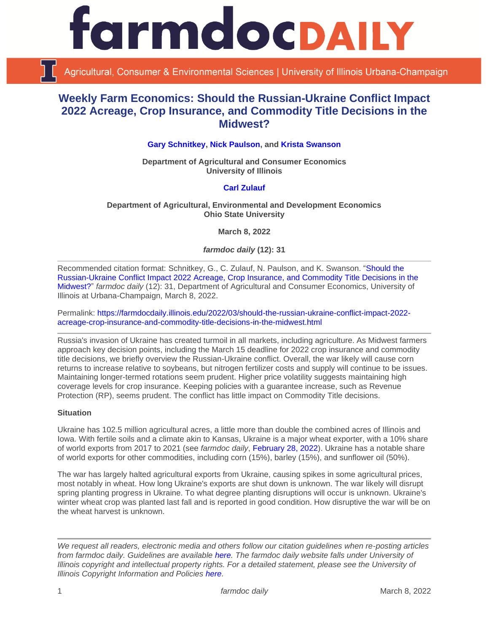

Agricultural, Consumer & Environmental Sciences | University of Illinois Urbana-Champaign

# **Weekly Farm Economics: Should the Russian-Ukraine Conflict Impact 2022 Acreage, Crop Insurance, and Commodity Title Decisions in the Midwest?**

**[Gary Schnitkey,](https://ace.illinois.edu/directory/schnitke) [Nick Paulson,](https://ace.illinois.edu/directory/npaulson) and [Krista Swanson](https://ace.illinois.edu/directory/krista)**

**Department of Agricultural and Consumer Economics University of Illinois**

# **[Carl Zulauf](http://aede.osu.edu/our-people/carl-zulauf)**

**Department of Agricultural, Environmental and Development Economics Ohio State University**

**March 8, 2022**

*farmdoc daily* **(12): 31**

Recommended citation format: Schnitkey, G., C. Zulauf, N. Paulson, and K. Swanson. ["Should the](https://farmdocdaily.illinois.edu/2022/03/should-the-russian-ukraine-conflict-impact-2022-acreage-crop-insurance-and-commodity-title-decisions-in-the-midwest.html)  [Russian-Ukraine Conflict Impact 2022 Acreage, Crop Insurance, and Commodity Title Decisions in the](https://farmdocdaily.illinois.edu/2022/03/should-the-russian-ukraine-conflict-impact-2022-acreage-crop-insurance-and-commodity-title-decisions-in-the-midwest.html)  [Midwest?"](https://farmdocdaily.illinois.edu/2022/03/should-the-russian-ukraine-conflict-impact-2022-acreage-crop-insurance-and-commodity-title-decisions-in-the-midwest.html) *farmdoc daily* (12): 31, Department of Agricultural and Consumer Economics, University of Illinois at Urbana-Champaign, March 8, 2022.

Permalink: [https://farmdocdaily.illinois.edu/2022/03/should-the-russian-ukraine-conflict-impact-2022](https://farmdocdaily.illinois.edu/2022/03/should-the-russian-ukraine-conflict-impact-2022-acreage-crop-insurance-and-commodity-title-decisions-in-the-midwest.html) [acreage-crop-insurance-and-commodity-title-decisions-in-the-midwest.html](https://farmdocdaily.illinois.edu/2022/03/should-the-russian-ukraine-conflict-impact-2022-acreage-crop-insurance-and-commodity-title-decisions-in-the-midwest.html)

Russia's invasion of Ukraine has created turmoil in all markets, including agriculture. As Midwest farmers approach key decision points, including the March 15 deadline for 2022 crop insurance and commodity title decisions, we briefly overview the Russian-Ukraine conflict. Overall, the war likely will cause corn returns to increase relative to soybeans, but nitrogen fertilizer costs and supply will continue to be issues. Maintaining longer-termed rotations seem prudent. Higher price volatility suggests maintaining high coverage levels for crop insurance. Keeping policies with a guarantee increase, such as Revenue Protection (RP), seems prudent. The conflict has little impact on Commodity Title decisions.

## **Situation**

Ukraine has 102.5 million agricultural acres, a little more than double the combined acres of Illinois and Iowa. With fertile soils and a climate akin to Kansas, Ukraine is a major wheat exporter, with a 10% share of world exports from 2017 to 2021 (see *farmdoc daily*, [February 28, 2022\)](https://farmdocdaily.illinois.edu/2022/02/revisiting-ukraine-russia-and-agricultural-commodity-markets.html). Ukraine has a notable share of world exports for other commodities, including corn (15%), barley (15%), and sunflower oil (50%).

The war has largely halted agricultural exports from Ukraine, causing spikes in some agricultural prices, most notably in wheat. How long Ukraine's exports are shut down is unknown. The war likely will disrupt spring planting progress in Ukraine. To what degree planting disruptions will occur is unknown. Ukraine's winter wheat crop was planted last fall and is reported in good condition. How disruptive the war will be on the wheat harvest is unknown.

*We request all readers, electronic media and others follow our citation guidelines when re-posting articles from farmdoc daily. Guidelines are available [here.](http://farmdocdaily.illinois.edu/citationguide.html) The farmdoc daily website falls under University of Illinois copyright and intellectual property rights. For a detailed statement, please see the University of Illinois Copyright Information and Policies [here.](http://www.cio.illinois.edu/policies/copyright/)*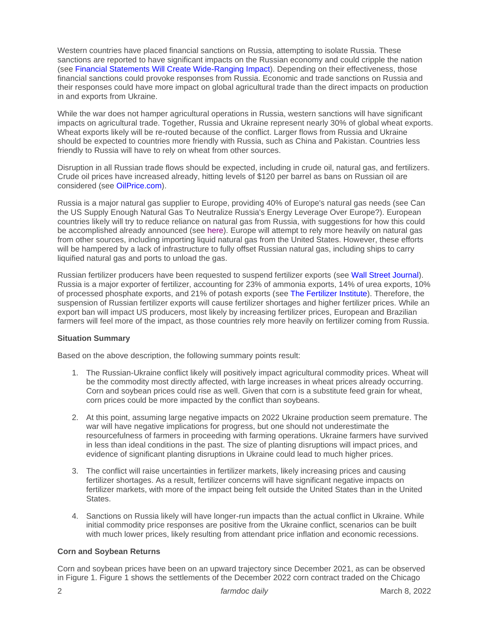Western countries have placed financial sanctions on Russia, attempting to isolate Russia. These sanctions are reported to have significant impacts on the Russian economy and could cripple the nation (see [Financial Statements Will Create Wide-Ranging](https://news.umich.edu/financial-sanctions-against-russia-will-create-wide-ranging-impact/) Impact). Depending on their effectiveness, those financial sanctions could provoke responses from Russia. Economic and trade sanctions on Russia and their responses could have more impact on global agricultural trade than the direct impacts on production in and exports from Ukraine.

While the war does not hamper agricultural operations in Russia, western sanctions will have significant impacts on agricultural trade. Together, Russia and Ukraine represent nearly 30% of global wheat exports. Wheat exports likely will be re-routed because of the conflict. Larger flows from Russia and Ukraine should be expected to countries more friendly with Russia, such as China and Pakistan. Countries less friendly to Russia will have to rely on wheat from other sources.

Disruption in all Russian trade flows should be expected, including in crude oil, natural gas, and fertilizers. Crude oil prices have increased already, hitting levels of \$120 per barrel as bans on Russian oil are considered (see [OilPrice.com\)](https://oilprice.com/Energy/Oil-Prices/Oil-Prices-Break-130-As-EU-And-US-Allies-Consider-Ban-On-Russian-Oil.html).

Russia is a major natural gas supplier to Europe, providing 40% of Europe's natural gas needs (see Can the US Supply Enough Natural Gas To Neutralize Russia's Energy Leverage Over Europe?). European countries likely will try to reduce reliance on natural gas from Russia, with suggestions for how this could be accomplished already announced (see [here\)](https://www.iea.org/news/how-europe-can-cut-natural-gas-imports-from-russia-significantly-within-a-year). Europe will attempt to rely more heavily on natural gas from other sources, including importing liquid natural gas from the United States. However, these efforts will be hampered by a lack of infrastructure to fully offset Russian natural gas, including ships to carry liquified natural gas and ports to unload the gas.

Russian fertilizer producers have been requested to suspend fertilizer exports (see [Wall Street Journal\)](https://www.wsj.com/livecoverage/russia-ukraine-latest-news-2022-03-04/card/russian-ministry-recommends-suspending-fertilizer-exports-8gJNAaRR7PBi6HvV4T3o). Russia is a major exporter of fertilizer, accounting for 23% of ammonia exports, 14% of urea exports, 10% of processed phosphate exports, and 21% of potash exports (see [The Fertilizer Institute\)](https://www.tfi.org/content/statement-russia-ukraine-conflict). Therefore, the suspension of Russian fertilizer exports will cause fertilizer shortages and higher fertilizer prices. While an export ban will impact US producers, most likely by increasing fertilizer prices, European and Brazilian farmers will feel more of the impact, as those countries rely more heavily on fertilizer coming from Russia.

# **Situation Summary**

Based on the above description, the following summary points result:

- 1. The Russian-Ukraine conflict likely will positively impact agricultural commodity prices. Wheat will be the commodity most directly affected, with large increases in wheat prices already occurring. Corn and soybean prices could rise as well. Given that corn is a substitute feed grain for wheat, corn prices could be more impacted by the conflict than soybeans.
- 2. At this point, assuming large negative impacts on 2022 Ukraine production seem premature. The war will have negative implications for progress, but one should not underestimate the resourcefulness of farmers in proceeding with farming operations. Ukraine farmers have survived in less than ideal conditions in the past. The size of planting disruptions will impact prices, and evidence of significant planting disruptions in Ukraine could lead to much higher prices.
- 3. The conflict will raise uncertainties in fertilizer markets, likely increasing prices and causing fertilizer shortages. As a result, fertilizer concerns will have significant negative impacts on fertilizer markets, with more of the impact being felt outside the United States than in the United States.
- 4. Sanctions on Russia likely will have longer-run impacts than the actual conflict in Ukraine. While initial commodity price responses are positive from the Ukraine conflict, scenarios can be built with much lower prices, likely resulting from attendant price inflation and economic recessions.

# **Corn and Soybean Returns**

Corn and soybean prices have been on an upward trajectory since December 2021, as can be observed in Figure 1. Figure 1 shows the settlements of the December 2022 corn contract traded on the Chicago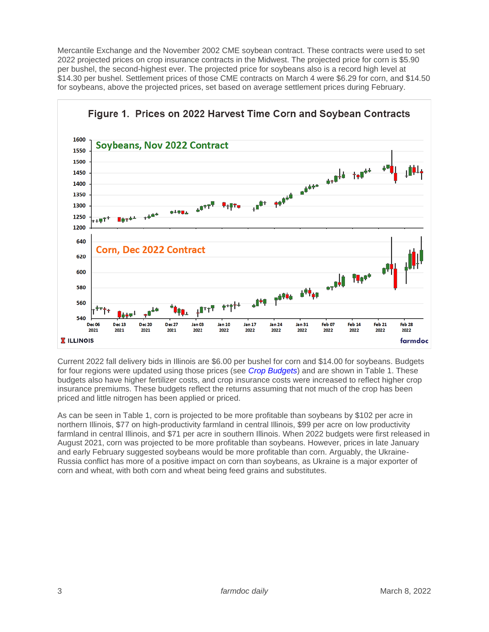Mercantile Exchange and the November 2002 CME soybean contract. These contracts were used to set 2022 projected prices on crop insurance contracts in the Midwest. The projected price for corn is \$5.90 per bushel, the second-highest ever. The projected price for soybeans also is a record high level at \$14.30 per bushel. Settlement prices of those CME contracts on March 4 were \$6.29 for corn, and \$14.50 for soybeans, above the projected prices, set based on average settlement prices during February.



Current 2022 fall delivery bids in Illinois are \$6.00 per bushel for corn and \$14.00 for soybeans. Budgets for four regions were updated using those prices (see *[Crop Budgets](https://farmdoc.illinois.edu/handbook/2022-budgets-for-all-regions)*) and are shown in Table 1. These budgets also have higher fertilizer costs, and crop insurance costs were increased to reflect higher crop insurance premiums. These budgets reflect the returns assuming that not much of the crop has been priced and little nitrogen has been applied or priced.

As can be seen in Table 1, corn is projected to be more profitable than soybeans by \$102 per acre in northern Illinois, \$77 on high-productivity farmland in central Illinois, \$99 per acre on low productivity farmland in central Illinois, and \$71 per acre in southern Illinois. When 2022 budgets were first released in August 2021, corn was projected to be more profitable than soybeans. However, prices in late January and early February suggested soybeans would be more profitable than corn. Arguably, the Ukraine-Russia conflict has more of a positive impact on corn than soybeans, as Ukraine is a major exporter of corn and wheat, with both corn and wheat being feed grains and substitutes.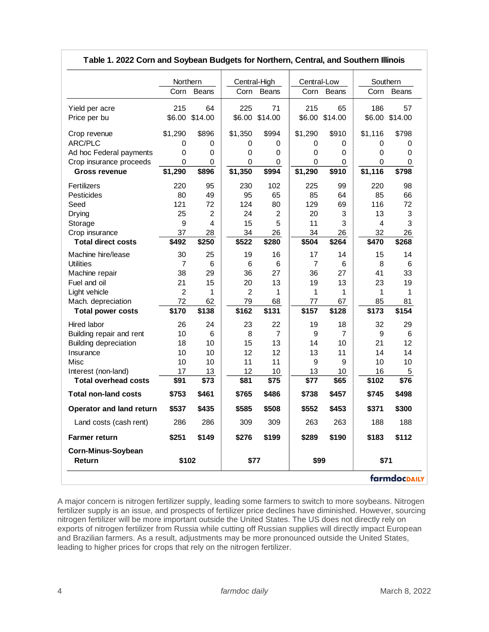|                                 | Northern       |                | Central-High   |                | Central-Low |         | Southern |              |
|---------------------------------|----------------|----------------|----------------|----------------|-------------|---------|----------|--------------|
|                                 | Corn           | Beans          | Corn           | Beans          | Corn        | Beans   | Corn     | <b>Beans</b> |
| Yield per acre                  | 215            | 64             | 225            | 71             | 215         | 65      | 186      | 57           |
| Price per bu                    | \$6.00         | \$14.00        |                | \$6.00 \$14.00 | \$6.00      | \$14.00 | \$6.00   | \$14.00      |
|                                 |                |                |                |                |             |         |          |              |
| Crop revenue                    | \$1,290        | \$896          | \$1,350        | \$994          | \$1,290     | \$910   | \$1,116  | \$798        |
| ARC/PLC                         | 0              | 0              | 0              | 0              | 0           | 0       | 0        | 0            |
| Ad hoc Federal payments         | 0              | 0              | 0              | 0              | 0           | 0       | 0        | 0            |
| Crop insurance proceeds         | 0              | 0              | 0              | 0              | 0           | 0       | 0        | 0            |
| <b>Gross revenue</b>            | \$1,290        | \$896          | \$1,350        | \$994          | \$1,290     | \$910   | \$1,116  | \$798        |
| Fertilizers                     | 220            | 95             | 230            | 102            | 225         | 99      | 220      | 98           |
| Pesticides                      | 80             | 49             | 95             | 65             | 85          | 64      | 85       | 66           |
| Seed                            | 121            | 72             | 124            | 80             | 129         | 69      | 116      | 72           |
| Drying                          | 25             | $\overline{2}$ | 24             | $\overline{2}$ | 20          | 3       | 13       | 3            |
| Storage                         | 9              | 4              | 15             | 5              | 11          | 3       | 4        | 3            |
| Crop insurance                  | 37             | 28             | 34             | 26             | 34          | 26      | 32       | 26           |
| <b>Total direct costs</b>       | \$492          | \$250          | \$522          | \$280          | \$504       | \$264   | \$470    | \$268        |
| Machine hire/lease              | 30             | 25             | 19             | 16             | 17          | 14      | 15       | 14           |
| <b>Utilities</b>                | 7              | 6              | 6              | 6              | 7           | 6       | 8        | 6            |
| Machine repair                  | 38             | 29             | 36             | 27             | 36          | 27      | 41       | 33           |
| Fuel and oil                    | 21             | 15             | 20             | 13             | 19          | 13      | 23       | 19           |
| Light vehicle                   | $\overline{2}$ | 1              | $\overline{2}$ | 1              | 1           | 1       | 1        | 1            |
| Mach. depreciation              | 72             | 62             | 79             | 68             | 77          | 67      | 85       | 81           |
| <b>Total power costs</b>        | \$170          | \$138          | \$162          | \$131          | \$157       | \$128   | \$173    | \$154        |
| Hired labor                     | 26             | 24             | 23             | 22             | 19          | 18      | 32       | 29           |
| Building repair and rent        | 10             | 6              | 8              | $\overline{7}$ | 9           | 7       | 9        | 6            |
| <b>Building depreciation</b>    | 18             | 10             | 15             | 13             | 14          | 10      | 21       | 12           |
| Insurance                       | 10             | 10             | 12             | 12             | 13          | 11      | 14       | 14           |
| Misc                            | 10             | 10             | 11             | 11             | 9           | 9       | 10       | 10           |
| Interest (non-land)             | 17             | 13             | 12             | 10             | 13          | 10      | 16       | 5            |
| <b>Total overhead costs</b>     | \$91           | \$73           | \$81           | \$75           | \$77        | \$65    | \$102    | \$76         |
| <b>Total non-land costs</b>     | \$753          | \$461          | \$765          | \$486          | \$738       | \$457   | \$745    | \$498        |
| <b>Operator and land return</b> | \$537          | \$435          | \$585          | \$508          | \$552       | \$453   | \$371    | \$300        |
| Land costs (cash rent)          | 286            | 286            | 309            | 309            | 263         | 263     | 188      | 188          |
| Farmer return                   | \$251          | \$149          | \$276          | \$199          | \$289       | \$190   | \$183    | \$112        |
| Corn-Minus-Soybean              |                |                |                |                |             |         |          |              |
| Return                          | \$102          |                | \$77           |                | \$99        |         | \$71     |              |
|                                 |                |                |                |                |             |         |          | farmdocpAILY |

## **Table 1. 2022 Corn and Soybean Budgets for Northern, Central, and Southern Illinois**

A major concern is nitrogen fertilizer supply, leading some farmers to switch to more soybeans. Nitrogen fertilizer supply is an issue, and prospects of fertilizer price declines have diminished. However, sourcing nitrogen fertilizer will be more important outside the United States. The US does not directly rely on exports of nitrogen fertilizer from Russia while cutting off Russian supplies will directly impact European and Brazilian farmers. As a result, adjustments may be more pronounced outside the United States, leading to higher prices for crops that rely on the nitrogen fertilizer.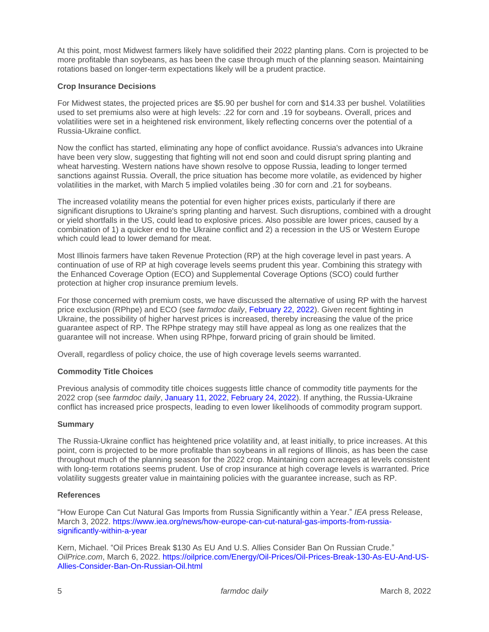At this point, most Midwest farmers likely have solidified their 2022 planting plans. Corn is projected to be more profitable than soybeans, as has been the case through much of the planning season. Maintaining rotations based on longer-term expectations likely will be a prudent practice.

### **Crop Insurance Decisions**

For Midwest states, the projected prices are \$5.90 per bushel for corn and \$14.33 per bushel. Volatilities used to set premiums also were at high levels: .22 for corn and .19 for soybeans. Overall, prices and volatilities were set in a heightened risk environment, likely reflecting concerns over the potential of a Russia-Ukraine conflict.

Now the conflict has started, eliminating any hope of conflict avoidance. Russia's advances into Ukraine have been very slow, suggesting that fighting will not end soon and could disrupt spring planting and wheat harvesting. Western nations have shown resolve to oppose Russia, leading to longer termed sanctions against Russia. Overall, the price situation has become more volatile, as evidenced by higher volatilities in the market, with March 5 implied volatiles being .30 for corn and .21 for soybeans.

The increased volatility means the potential for even higher prices exists, particularly if there are significant disruptions to Ukraine's spring planting and harvest. Such disruptions, combined with a drought or yield shortfalls in the US, could lead to explosive prices. Also possible are lower prices, caused by a combination of 1) a quicker end to the Ukraine conflict and 2) a recession in the US or Western Europe which could lead to lower demand for meat.

Most Illinois farmers have taken Revenue Protection (RP) at the high coverage level in past years. A continuation of use of RP at high coverage levels seems prudent this year. Combining this strategy with the Enhanced Coverage Option (ECO) and Supplemental Coverage Options (SCO) could further protection at higher crop insurance premium levels.

For those concerned with premium costs, we have discussed the alternative of using RP with the harvest price exclusion (RPhpe) and ECO (see *farmdoc daily*, [February 22, 2022\)](https://farmdocdaily.illinois.edu/2022/02/consider-rp-with-harvest-price-exclusion-in-conjunction-with-the-enhanced-coverage-option.html). Given recent fighting in Ukraine, the possibility of higher harvest prices is increased, thereby increasing the value of the price guarantee aspect of RP. The RPhpe strategy may still have appeal as long as one realizes that the guarantee will not increase. When using RPhpe, forward pricing of grain should be limited.

Overall, regardless of policy choice, the use of high coverage levels seems warranted.

# **Commodity Title Choices**

Previous analysis of commodity title choices suggests little chance of commodity title payments for the 2022 crop (see *farmdoc daily*, [January 11, 2022,](https://farmdocdaily.illinois.edu/2022/01/the-2022-plc-and-arc-decision.html) [February 24, 2022\)](https://farmdocdaily.illinois.edu/2022/02/2022-commodity-program-decision-arc-co-plc-decision-indicator.html). If anything, the Russia-Ukraine conflict has increased price prospects, leading to even lower likelihoods of commodity program support.

#### **Summary**

The Russia-Ukraine conflict has heightened price volatility and, at least initially, to price increases. At this point, corn is projected to be more profitable than soybeans in all regions of Illinois, as has been the case throughout much of the planning season for the 2022 crop. Maintaining corn acreages at levels consistent with long-term rotations seems prudent. Use of crop insurance at high coverage levels is warranted. Price volatility suggests greater value in maintaining policies with the guarantee increase, such as RP.

#### **References**

"How Europe Can Cut Natural Gas Imports from Russia Significantly within a Year." *IEA* press Release, March 3, 2022. [https://www.iea.org/news/how-europe-can-cut-natural-gas-imports-from-russia](https://www.iea.org/news/how-europe-can-cut-natural-gas-imports-from-russia-significantly-within-a-year)[significantly-within-a-year](https://www.iea.org/news/how-europe-can-cut-natural-gas-imports-from-russia-significantly-within-a-year)

Kern, Michael. "Oil Prices Break \$130 As EU And U.S. Allies Consider Ban On Russian Crude." *OilPrice.com*, March 6, 2022. [https://oilprice.com/Energy/Oil-Prices/Oil-Prices-Break-130-As-EU-And-US-](https://oilprice.com/Energy/Oil-Prices/Oil-Prices-Break-130-As-EU-And-US-Allies-Consider-Ban-On-Russian-Oil.html)[Allies-Consider-Ban-On-Russian-Oil.html](https://oilprice.com/Energy/Oil-Prices/Oil-Prices-Break-130-As-EU-And-US-Allies-Consider-Ban-On-Russian-Oil.html)